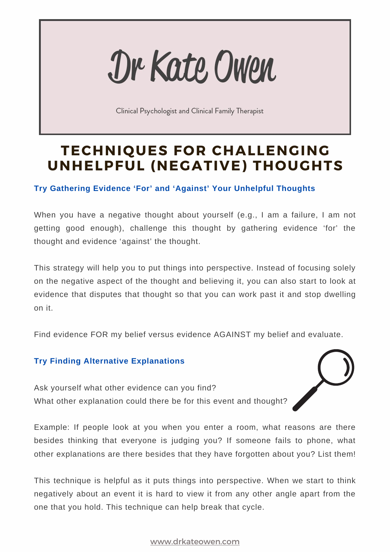# Dr Kate Owen

Clinical Psychologist and Clinical Family Therapist

# **TECHNIQUES FOR CHALLENGING UNHELPFUL (NEGATIVE) THOUGHTS**

## **Try Gathering Evidence 'For' and 'Against' Your Unhelpful Thoughts**

When you have a negative thought about yourself (e.g., I am a failure, I am not getting good enough), challenge this thought by gathering evidence 'for' the thought and evidence 'against' the thought.

This strategy will help you to put things into perspective. Instead of focusing solely on the negative aspect of the thought and believing it, you can also start to look at evidence that disputes that thought so that you can work past it and stop dwelling on it.

Find evidence FOR my belief versus evidence AGAINST my belief and evaluate.

### **Try Finding Alternative Explanations**

Ask yourself what other evidence can you find? What other explanation could there be for this event and thought?

Example: If people look at you when you enter a room, what reasons are there besides thinking that everyone is judging you? If someone fails to phone, what other explanations are there besides that they have forgotten about you? List them!

This technique is helpful as it puts things into perspective. When we start to think negatively about an event it is hard to view it from any other angle apart from the one that you hold. This technique can help break that cycle.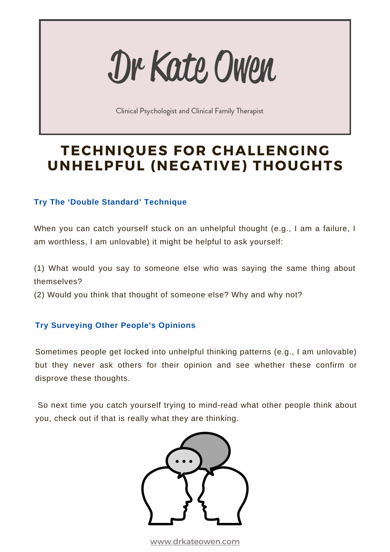# Dr Kate Owen

Clinical Psychologist and Clinical Family Therapist

## **TECHNIQUES FOR CHALLENGING UNHELPFUL (NEGATIVE) THOUGHTS**

### **Try The 'Double Standard' Technique**

When you can catch yourself stuck on an unhelpful thought (e.g., I am a failure, I am worthless, I am unlovable) it might be helpful to ask yourself:

(1) What would you say to someone else who was saying the same thing about themselves?

(2) Would you think that thought of someone else? Why and why not?

### **Try Surveying Other People's Opinions**

Sometimes people get locked into unhelpful thinking patterns (e.g., I am unlovable) but they never ask others for their opinion and see whether these confirm or disprove these thoughts.

So next time you catch yourself trying to mind-read what other people think about you, check out if that is really what they are thinking.

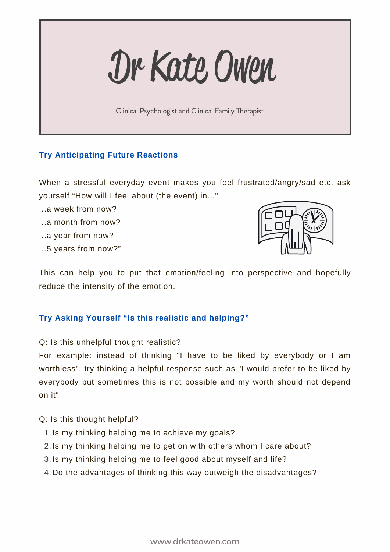Dr Kate Owen

Clinical Psychologist and Clinical Family Therapist

#### **Try Anticipating Future Reactions**

When a stressful everyday event makes you feel frustrated/angry/sad etc, ask yourself "How will I feel about (the event) in..."

- ...a week from now?
- ...a month from now?
- ...a year from now?
- ...5 years from now?"



This can help you to put that emotion/feeling into perspective and hopefully reduce the intensity of the emotion.

#### **Try Asking Yourself "Is this realistic and helping?"**

Q: Is this unhelpful thought realistic?

For example: instead of thinking "I have to be liked by everybody or I am worthless", try thinking a helpful response such as "I would prefer to be liked by everybody but sometimes this is not possible and my worth should not depend on it"

Q: Is this thought helpful?

- 1. Is my thinking helping me to achieve my goals?
- 2. Is my thinking helping me to get on with others whom I care about?
- 3. Is my thinking helping me to feel good about myself and life?
- 4. Do the advantages of thinking this way outweigh the disadvantages?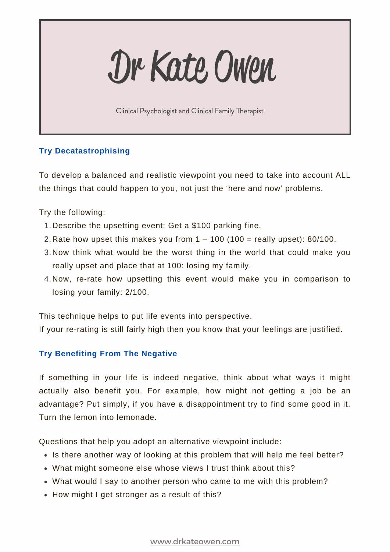# Dr Kate Owen

Clinical Psychologist and Clinical Family Therapist

### **Try Decatastrophising**

To develop a balanced and realistic viewpoint you need to take into account ALL the things that could happen to you, not just the 'here and now' problems.

Try the following:

- 1. Describe the upsetting event: Get a \$100 parking fine.
- 2. Rate how upset this makes you from  $1 100$  (100 = really upset): 80/100.
- 3. Now think what would be the worst thing in the world that could make you really upset and place that at 100: losing my family.
- 4. Now, re-rate how upsetting this event would make you in comparison to losing your family: 2/100.

This technique helps to put life events into perspective.

If your re-rating is still fairly high then you know that your feelings are justified.

### **Try Benefiting From The Negative**

If something in your life is indeed negative, think about what ways it might actually also benefit you. For example, how might not getting a job be an advantage? Put simply, if you have a disappointment try to find some good in it. Turn the lemon into lemonade.

Questions that help you adopt an alternative viewpoint include:

- Is there another way of looking at this problem that will help me feel better?
- What might someone else whose views I trust think about this?
- What would I say to another person who came to me with this problem?
- How might I get stronger as a result of this?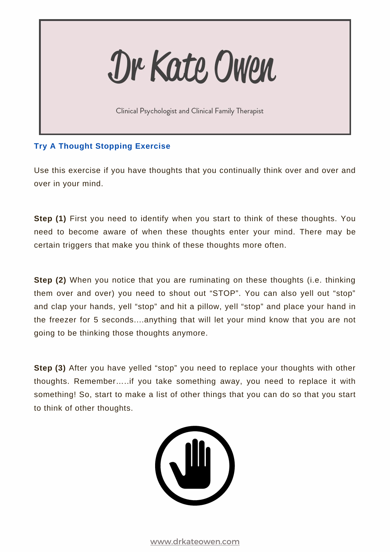Dr Kate Owen

Clinical Psychologist and Clinical Family Therapist

#### **Try A Thought Stopping Exercise**

Use this exercise if you have thoughts that you continually think over and over and over in your mind.

**Step (1)** First you need to identify when you start to think of these thoughts. You need to become aware of when these thoughts enter your mind. There may be certain triggers that make you think of these thoughts more often.

**Step (2)** When you notice that you are ruminating on these thoughts (i.e. thinking them over and over) you need to shout out "STOP". You can also yell out "stop" and clap your hands, yell "stop" and hit a pillow, yell "stop" and place your hand in the freezer for 5 seconds....anything that will let your mind know that you are not going to be thinking those thoughts anymore.

**Step (3)** After you have yelled "stop" you need to replace your thoughts with other thoughts. Remember…..if you take something away, you need to replace it with something! So, start to make a list of other things that you can do so that you start to think of other thoughts.